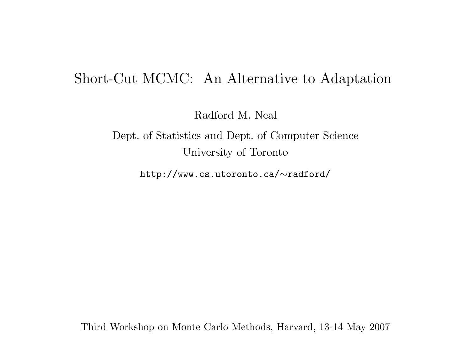#### Short-Cut MCMC: An Alternative to Adaptation

Radford M. Neal

Dept. of Statistics and Dept. of Computer Science University of Toronto

http://www.cs.utoronto.ca/∼radford/

Third Workshop on Monte Carlo Methods, Harvard, 13-14 May 2007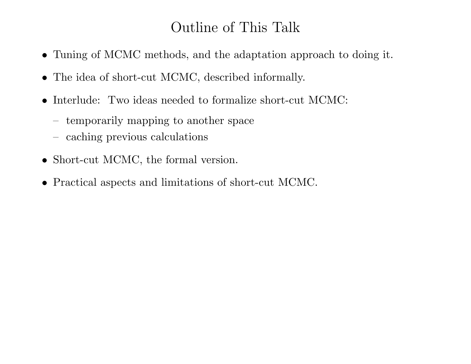# Outline of This Talk

- Tuning of MCMC methods, and the adaptation approach to doing it.
- The idea of short-cut MCMC, described informally.
- Interlude: Two ideas needed to formalize short-cut MCMC:
	- temporarily mapping to another space
	- caching previous calculations
- Short-cut MCMC, the formal version.
- Practical aspects and limitations of short-cut MCMC.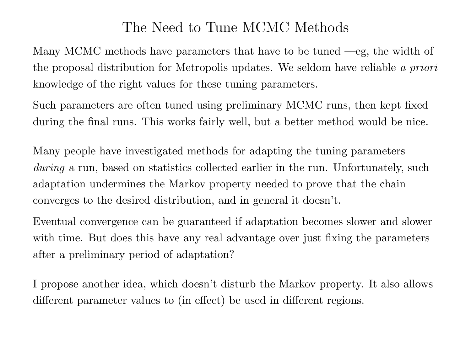## The Need to Tune MCMC Methods

Many MCMC methods have parameters that have to be tuned —eg, the width of the proposal distribution for Metropolis updates. We seldom have reliable a priori knowledge of the right values for these tuning parameters.

Such parameters are often tuned using preliminary MCMC runs, then kept fixed during the final runs. This works fairly well, but <sup>a</sup> better method would be nice.

Many people have investigated methods for adapting the tuning parameters during a run, based on statistics collected earlier in the run. Unfortunately, such adaptation undermines the Markov property needed to prove that the chain converges to the desired distribution, and in general it doesn't.

Eventual convergence can be guaranteed if adaptation becomes slower and slower with time. But does this have any real advantage over just fixing the parameters after a preliminary period of adaptation?

I propose another idea, which doesn't disturb the Markov property. It also allows different parameter values to (in effect) be used in different regions.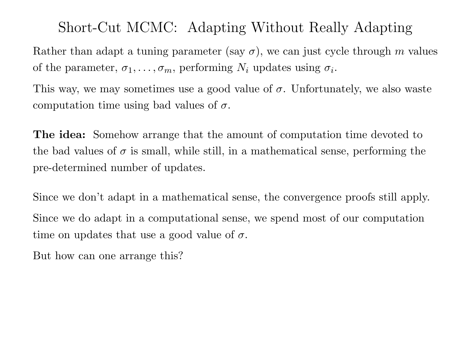Short-Cut MCMC: Adapting Without Really Adapting

Rather than adapt a tuning parameter (say  $\sigma$ ), we can just cycle through m values of the parameter,  $\sigma_1, \ldots, \sigma_m$ , performing  $N_i$  updates using  $\sigma_i$ .

This way, we may sometimes use a good value of  $\sigma$ . Unfortunately, we also waste computation time using bad values of  $\sigma$ .

**The idea:** Somehow arrange that the amount of computation time devoted to the bad values of  $\sigma$  is small, while still, in a mathematical sense, performing the pre-determined number of updates.

Since we don't adapt in <sup>a</sup> mathematical sense, the convergence proofs still apply. Since we do adapt in <sup>a</sup> computational sense, we spend most of our computation time on updates that use a good value of  $\sigma$ .

But how can one arrange this?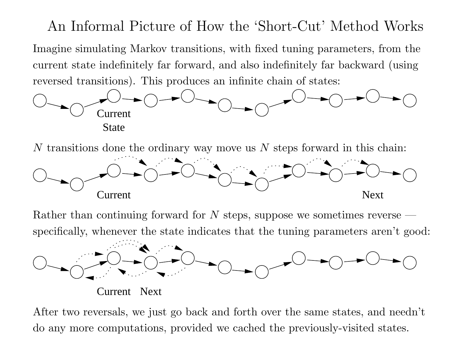An Informal Picture of How the 'Short-Cut' Method Works Imagine simulating Markov transitions, with fixed tuning parameters, from the current state indefinitely far forward, and also indefinitely far backward (using reversed transitions). This produces an infinite chain of states:



N transitions done the ordinary way move us N steps forward in this chain:



Rather than continuing forward for N steps, suppose we sometimes reverse  $$ specifically, whenever the state indicates that the tuning parameters aren't good:



Current Next

After two reversals, we just go back and forth over the same states, and needn't do any more computations, provided we cached the previously-visited states.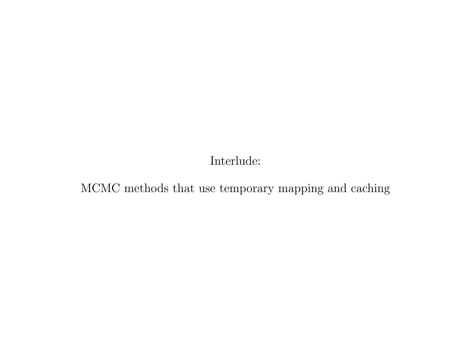Interlude:

MCMC methods that use temporary mapping and caching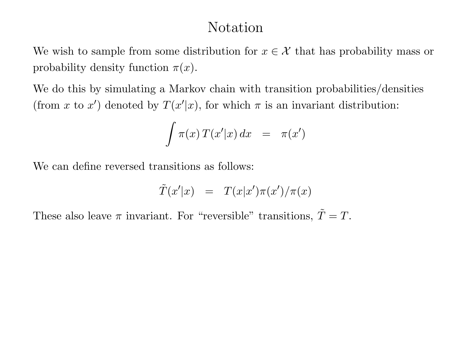## Notation

We wish to sample from some distribution for  $x \in \mathcal{X}$  that has probability mass or probability density function  $\pi(x)$ .

We do this by simulating <sup>a</sup> Markov chain with transition probabilities/densities (from x to x') denoted by  $T(x'|x)$ , for which  $\pi$  is an invariant distribution:

$$
\int \pi(x) T(x'|x) dx = \pi(x')
$$

We can define reversed transitions as follows:

$$
\tilde{T}(x'|x) = T(x|x')\pi(x')/\pi(x)
$$

These also leave  $\pi$  invariant. For "reversible" transitions,  $\tilde{T}$  $\varGamma = T.$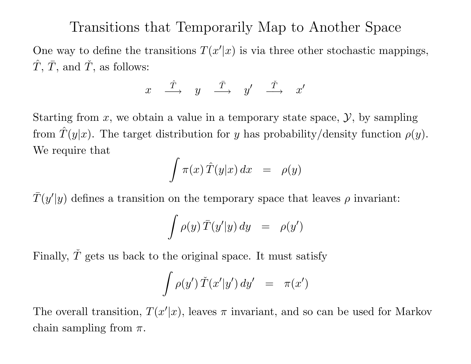## Transitions that Temporarily Map to Another Space

One way to define the transitions  $T(x'|x)$  is via three other stochastic mappings,  $\, T \,$ ˆ $\tilde{T},\,\bar{T}$  $\bar{T}, \text{ and } \check{T}$  $T,$  as follows:

> $\mathcal{X}% _{0}=\mathbb{R}^{2}\times\mathbb{R}^{2}$  $\, T \,$ ˆ $\stackrel{\text{\tiny{\texttt{I}}}}{\longrightarrow}$  y  $\, T \,$  $\stackrel{\bar{T}}{\longrightarrow}$   $y'$   $\stackrel{\check{T}}{\longrightarrow}$  $\longrightarrow x'$

Starting from  $x$ , we obtain a value in a temporary state space,  $\mathcal{Y}$ , by sampling from  $\hat{T}$  $T(y|x)$ . The target distribution for y has probability/density function  $\rho(y)$ . We require that

$$
\int \pi(x)\,\hat{T}(y|x)\,dx \;\;=\;\; \rho(y)
$$

 $\, T \,$  $T(y'|y)$  defines a transition on the temporary space that leaves  $\rho$  invariant:

$$
\int \rho(y) \,\bar{T}(y'|y) \, dy \quad = \quad \rho(y')
$$

Finally,  $\check{T}$ T gets us back to the original space. It must satisfy

$$
\int \rho(y') \, \check T(x'|y') \, dy' \;\; = \;\; \pi(x')
$$

The overall transition,  $T(x'|x)$ , leaves  $\pi$  invariant, and so can be used for Markov chain sampling from  $\pi$ .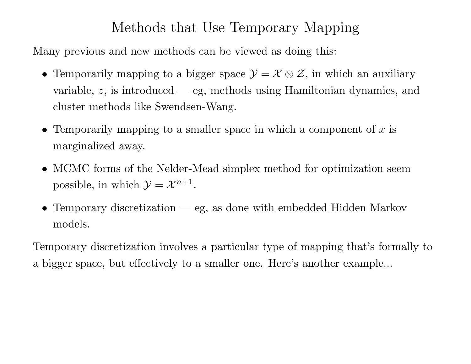# Methods that Use Temporary Mapping

Many previous and new methods can be viewed as doing this:

- Temporarily mapping to a bigger space  $\mathcal{Y} = \mathcal{X} \otimes \mathcal{Z}$ , in which an auxiliary variable,  $z$ , is introduced — eg, methods using Hamiltonian dynamics, and cluster methods like Swendsen-Wang.
- Temporarily mapping to a smaller space in which a component of  $x$  is marginalized away.
- MCMC forms of the Nelder-Mead simplex method for optimization seem possible, in which  $\mathcal{Y} = \mathcal{X}^{n+1}$ .
- Temporary discretization eg, as done with embedded Hidden Markov models.

Temporary discretization involves <sup>a</sup> particular type of mapping that's formally to a bigger space, but effectively to <sup>a</sup> smaller one. Here's another example...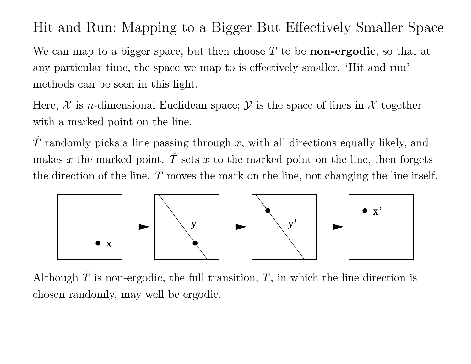# Hit and Run: Mapping to <sup>a</sup> Bigger But Effectively Smaller Space

We can map to a bigger space, but then choose  $\bar{T}$  $T$  to be **non-ergodic**, so that at any particular time, the space we map to is effectively smaller. 'Hit and run' methods can be seen in this light.

Here,  $\mathcal X$  is *n*-dimensional Euclidean space;  $\mathcal Y$  is the space of lines in  $\mathcal X$  together with <sup>a</sup> marked point on the line.

 $\, T \,$ ˆT randomly picks a line passing through  $x$ , with all directions equally likely, and makes x the marked point.  $\check{T}$  $T$  sets  $x$  to the marked point on the line, then forgets the direction of the line.  $T$ moves the mark on the line, not changing the line itself.



Although  $\bar{T}$  $T$  is non-ergodic, the full transition,  $T$ , in which the line direction is chosen randomly, may well be ergodic.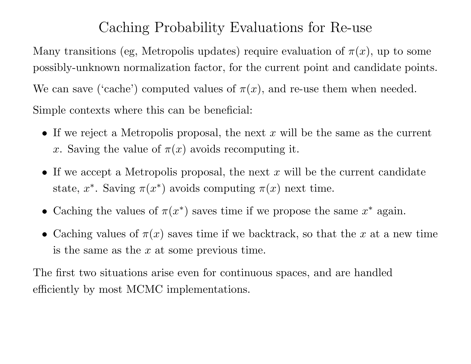# Caching Probability Evaluations for Re-use

Many transitions (eg, Metropolis updates) require evaluation of  $\pi(x)$ , up to some possibly-unknown normalization factor, for the current point and candidate points. We can save ('cache') computed values of  $\pi(x)$ , and re-use them when needed. Simple contexts where this can be beneficial:

- If we reject a Metropolis proposal, the next  $x$  will be the same as the current x. Saving the value of  $\pi(x)$  avoids recomputing it.
- If we accept a Metropolis proposal, the next  $x$  will be the current candidate state,  $x^*$ . Saving  $\pi(x^*)$  avoids computing  $\pi(x)$  next time.
- Caching the values of  $\pi(x^*)$  saves time if we propose the same  $x^*$  again.
- Caching values of  $\pi(x)$  saves time if we backtrack, so that the x at a new time is the same as the  $x$  at some previous time.

The first two situations arise even for continuous spaces, and are handled efficiently by most MCMC implementations.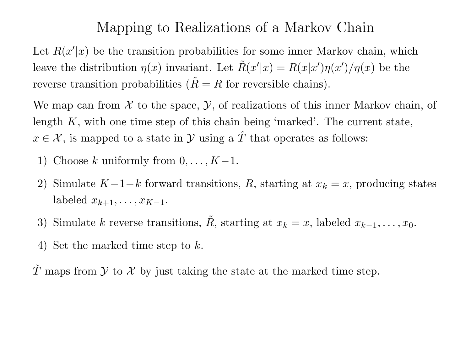#### Mapping to Realizations of <sup>a</sup> Markov Chain

Let  $R(x'|x)$  be the transition probabilities for some inner Markov chain, which leave the distribution  $\eta(x)$  invariant. Let  $\tilde{R}$  $R(x'|x) = R(x|x')\eta(x')/\eta(x)$  be the reverse transition probabilities  $(\tilde{R})$  $R = R$  for reversible chains).

We map can from  $\mathcal X$  to the space,  $\mathcal Y$ , of realizations of this inner Markov chain, of length  $K$ , with one time step of this chain being 'marked'. The current state,  $x \in \mathcal{X}$ , is mapped to a state in  $\mathcal{Y}$  using a  $\hat{T}$  $T$  that operates as follows:

- 1) Choose k uniformly from  $0, \ldots, K-1$ .
- Simulate  $K-1-k$  forward transitions, R, starting at  $x_k = x$ , producing states labeled  $x_{k+1}, \ldots, x_{K-1}.$
- 3) Simulate  $k$  reverse transitions,  $\tilde{R}$ R, starting at  $x_k = x$ , labeled  $x_{k-1}, \ldots, x_0$ .
- 4) Set the marked time step to k.

T maps from  $\mathcal Y$  to  $\mathcal X$  by just taking the state at the marked time step. ˇ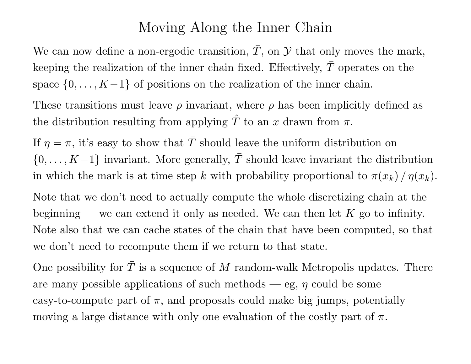#### Moving Along the Inner Chain

We can now define a non-ergodic transition,  $\bar{T}$  $T$ , on  $\mathcal Y$  that only moves the mark, keeping the realization of the inner chain fixed. Effectively,  $\bar{T}$  $T$  operates on the space  $\{0, \ldots, K-1\}$  of positions on the realization of the inner chain.

These transitions must leave  $\rho$  invariant, where  $\rho$  has been implicitly defined as the distribution resulting from applying  $\hat{T}$ T to an x drawn from  $\pi.$ 

If  $\eta = \pi$ , it's easy to show that  $\bar{T}$  should leave the uniform distribution on  $\{0,\ldots,K\!-\!1\}$  invariant. More generally,  $\bar{T}$  should leave invariant the distribution in which the mark is at time step k with probability proportional to  $\pi(x_k)/\eta(x_k)$ .

Note that we don't need to actually compute the whole discretizing chain at the beginning — we can extend it only as needed. We can then let  $K$  go to infinity. Note also that we can cache states of the chain that have been computed, so that we don't need to recompute them if we return to that state.

One possibility for  $\bar{T}$  $T$  is a sequence of  $M$  random-walk Metropolis updates. There are many possible applications of such methods — eg,  $\eta$  could be some easy-to-compute part of  $\pi$ , and proposals could make big jumps, potentially moving a large distance with only one evaluation of the costly part of  $\pi$ .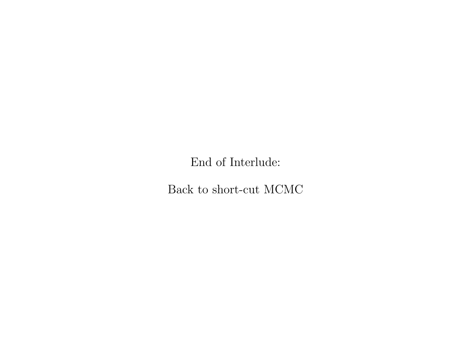End of Interlude:

Back to short-cut MCMC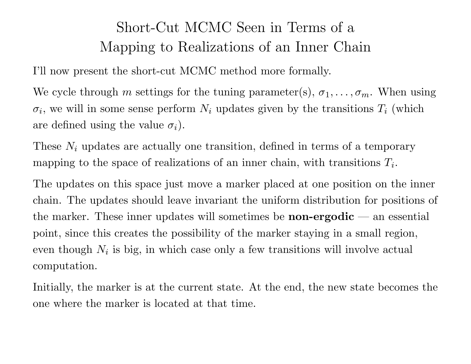# Short-Cut MCMC Seen in Terms of <sup>a</sup> Mapping to Realizations of an Inner Chain

I'll now present the short-cut MCMC method more formally.

We cycle through m settings for the tuning parameter(s),  $\sigma_1, \ldots, \sigma_m$ . When using  $\sigma_i$ , we will in some sense perform  $N_i$  updates given by the transitions  $T_i$  (which are defined using the value  $\sigma_i$ ).

These  $N_i$  updates are actually one transition, defined in terms of a temporary mapping to the space of realizations of an inner chain, with transitions  $T_i$ .

The updates on this space just move <sup>a</sup> marker placed at one position on the inner chain. The updates should leave invariant the uniform distribution for positions of the marker. These inner updates will sometimes be **non-ergodic** — an essential point, since this creates the possibility of the marker staying in <sup>a</sup> small region, even though  $N_i$  is big, in which case only a few transitions will involve actual computation.

Initially, the marker is at the current state. At the end, the new state becomes the one where the marker is located at that time.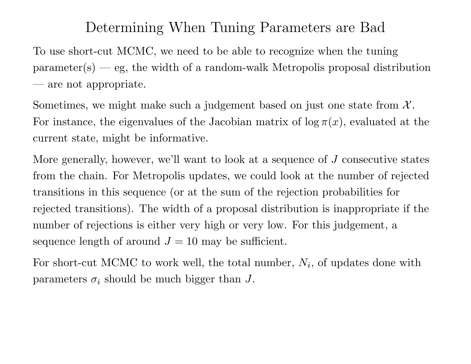## Determining When Tuning Parameters are Bad

To use short-cut MCMC, we need to be able to recognize when the tuning  $parameter(s) - eg$ , the width of a random-walk Metropolis proposal distribution — are not appropriate.

Sometimes, we might make such a judgement based on just one state from  $\mathcal{X}$ . For instance, the eigenvalues of the Jacobian matrix of  $\log \pi(x)$ , evaluated at the current state, might be informative.

More generally, however, we'll want to look at <sup>a</sup> sequence of J consecutive states from the chain. For Metropolis updates, we could look at the number of rejected transitions in this sequence (or at the sum of the rejection probabilities for rejected transitions). The width of <sup>a</sup> proposa<sup>l</sup> distribution is inappropriate if the number of rejections is either very high or very low. For this judgement, <sup>a</sup> sequence length of around  $J = 10$  may be sufficient.

For short-cut MCMC to work well, the total number,  $N_i$ , of updates done with parameters  $\sigma_i$  should be much bigger than J.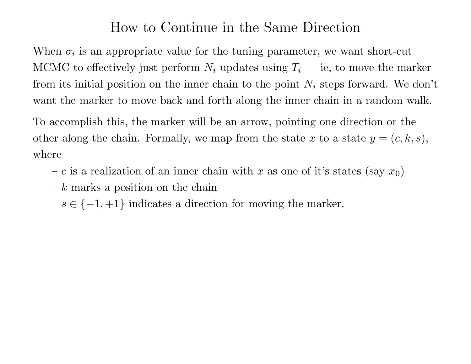## How to Continue in the Same Direction

When  $\sigma_i$  is an appropriate value for the tuning parameter, we want short-cut MCMC to effectively just perform  $N_i$  updates using  $T_i$  — ie, to move the marker from its initial position on the inner chain to the point  $N_i$  steps forward. We don't want the marker to move back and forth along the inner chain in <sup>a</sup> random walk.

To accomplish this, the marker will be an arrow, pointing one direction or the other along the chain. Formally, we map from the state x to a state  $y = (c, k, s)$ , where

- c is a realization of an inner chain with x as one of it's states (say  $x_0$ )
- $k$  marks a position on the chain
- $s \in \{-1, +1\}$  indicates a direction for moving the marker.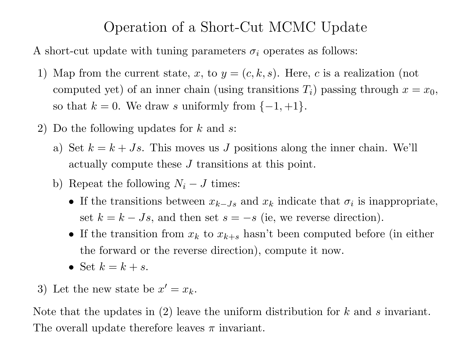## Operation of <sup>a</sup> Short-Cut MCMC Update

A short-cut update with tuning parameters  $\sigma_i$  operates as follows:

- 1) Map from the current state, x, to  $y = (c, k, s)$ . Here, c is a realization (not computed yet) of an inner chain (using transitions  $T_i$ ) passing through  $x = x_0$ , so that  $k = 0$ . We draw s uniformly from  $\{-1, +1\}$ .
- 2) Do the following updates for  $k$  and  $s$ :
	- a) Set  $k = k + Js$ . This moves us J positions along the inner chain. We'll actually compute these J transitions at this point.
	- b) Repeat the following  $N_i J$  times:
		- If the transitions between  $x_{k-Js}$  and  $x_k$  indicate that  $\sigma_i$  is inappropriate, set  $k = k - Js$ , and then set  $s = -s$  (ie, we reverse direction).
		- If the transition from  $x_k$  to  $x_{k+s}$  hasn't been computed before (in either the forward or the reverse direction), compute it now.
		- Set  $k = k + s$ .
- 3) Let the new state be  $x' = x_k$ .

Note that the updates in  $(2)$  leave the uniform distribution for k and s invariant. The overall update therefore leaves  $\pi$  invariant.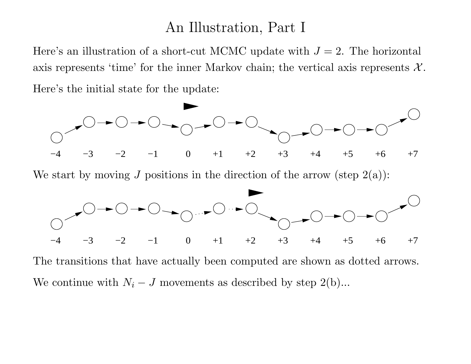#### An Illustration, Part I

Here's an illustration of a short-cut MCMC update with  $J = 2$ . The horizontal axis represents 'time' for the inner Markov chain; the vertical axis represents  $\mathcal{X}$ . Here's the initial state for the update:



The transitions that have actually been computed are shown as dotted arrows. We continue with  $N_i - J$  movements as described by step 2(b)...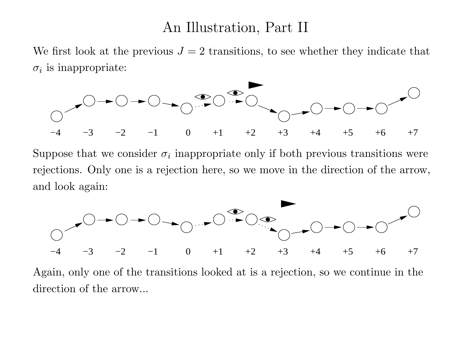#### An Illustration, Part II

We first look at the previous  $J = 2$  transitions, to see whether they indicate that  $\sigma_i$  is inappropriate:



Suppose that we consider  $\sigma_i$  inappropriate only if both previous transitions were rejections. Only one is <sup>a</sup> rejection here, so we move in the direction of the arrow, and look again:



Again, only one of the transitions looked at is <sup>a</sup> rejection, so we continue in the direction of the arrow...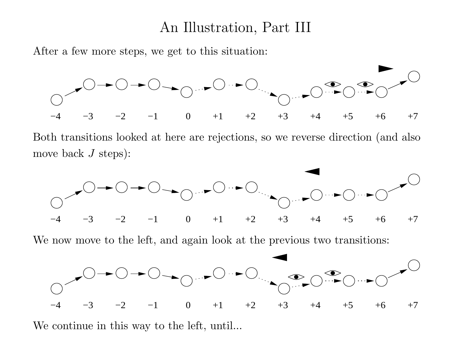#### An Illustration, Part III

After a few more steps, we get to this situation:



Both transitions looked at here are rejections, so we reverse direction (and also move back  $J$  steps):



−3 −2 −1 0 +1 +2 +3 +4 +5 +6 +7

We continue in this way to the left, until...

−4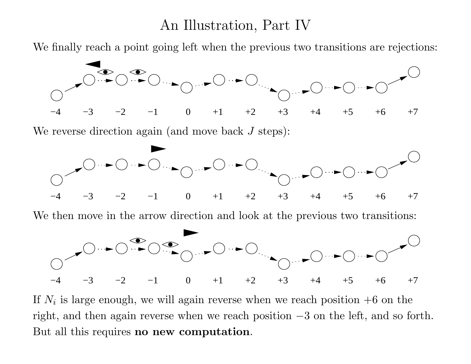## An Illustration, Part IV

We finally reach <sup>a</sup> point going left when the previous two transitions are rejections:



−4−3 −2 −1 0 +1 +2 +3 +4 +5 +6 +7

If  $N_i$  is large enough, we will again reverse when we reach position  $+6$  on the right, and then again reverse when we reach position <sup>−</sup>3 on the left, and so forth. But all this requires no new computation.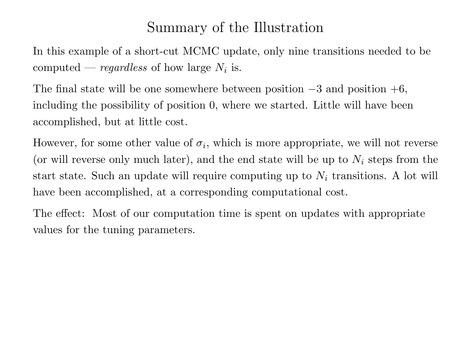# Summary of the Illustration

In this example of <sup>a</sup> short-cut MCMC update, only nine transitions needed to be computed — regardless of how large  $N_i$  is.

The final state will be one somewhere between position  $-3$  and position  $+6$ , including the possibility of position 0, where we started. Little will have been accomplished, but at little cost.

However, for some other value of  $\sigma_i$ , which is more appropriate, we will not reverse (or will reverse only much later), and the end state will be up to  $N_i$  steps from the start state. Such an update will require computing up to  $N_i$  transitions. A lot will have been accomplished, at <sup>a</sup> corresponding computational cost.

The effect: Most of our computation time is spent on updates with appropriate values for the tuning parameters.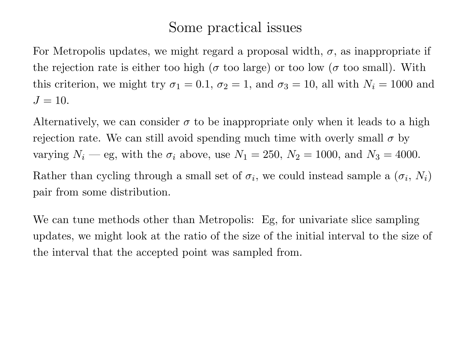# Some practical issues

For Metropolis updates, we might regard a proposal width,  $\sigma$ , as inappropriate if the rejection rate is either too high ( $\sigma$  too large) or too low ( $\sigma$  too small). With this criterion, we might try  $\sigma_1 = 0.1$ ,  $\sigma_2 = 1$ , and  $\sigma_3 = 10$ , all with  $N_i = 1000$  and  $J = 10$ .

Alternatively, we can consider  $\sigma$  to be inappropriate only when it leads to a high rejection rate. We can still avoid spending much time with overly small  $\sigma$  by varying  $N_i$  — eg, with the  $\sigma_i$  above, use  $N_1 = 250$ ,  $N_2 = 1000$ , and  $N_3 = 4000$ . Rather than cycling through a small set of  $\sigma_i$ , we could instead sample a  $(\sigma_i, N_i)$ pair from some distribution.

We can tune methods other than Metropolis: Eg, for univariate slice sampling updates, we might look at the ratio of the size of the initial interval to the size of the interval that the accepted point was sampled from.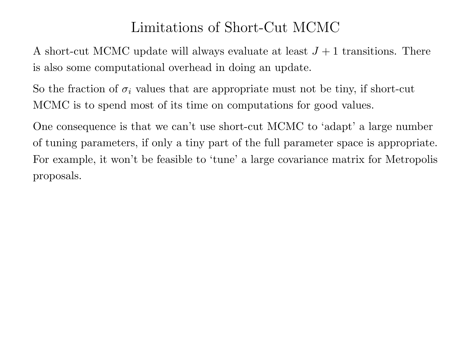# Limitations of Short-Cut MCMC

A short-cut MCMC update will always evaluate at least  $J+1$  transitions. There is also some computational overhead in doing an update.

So the fraction of  $\sigma_i$  values that are appropriate must not be tiny, if short-cut MCMC is to spend most of its time on computations for good values.

One consequence is that we can't use short-cut MCMC to 'adapt' <sup>a</sup> large number of tuning parameters, if only <sup>a</sup> tiny part of the full parameter space is appropriate. For example, it won't be feasible to 'tune' <sup>a</sup> large covariance matrix for Metropolis proposals.